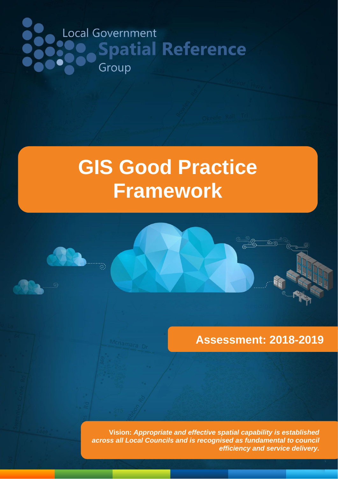## Local Government **Spatial Reference** Group

T.

# **GIS Good Practice Framework**

## **Assessment: 2018-2019**

**Prepared by Spatial Vision Innovation Innovation Innovation Prepared Service delivery. Vision:** *Appropriate and effective spatial capability is established across all Local Councils and is recognised as fundamental to council*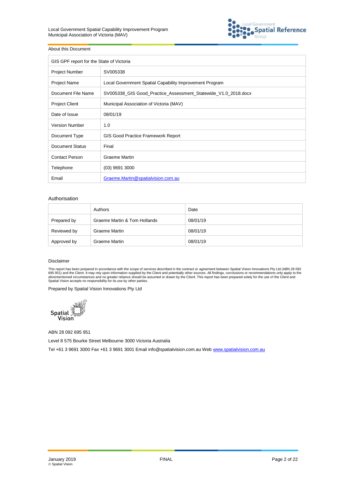

#### About this Document

| GIS GPF report for the State of Victoria |                                                                |  |  |
|------------------------------------------|----------------------------------------------------------------|--|--|
| <b>Project Number</b>                    | SV005338                                                       |  |  |
| <b>Project Name</b>                      | Local Government Spatial Capability Improvement Program        |  |  |
| Document File Name                       | SV005338_GIS Good_Practice_Assessment_Statewide_V1.0_2018.docx |  |  |
| <b>Project Client</b>                    | Municipal Association of Victoria (MAV)                        |  |  |
| Date of Issue                            | 08/01/19                                                       |  |  |
| <b>Version Number</b>                    | 1.0                                                            |  |  |
| Document Type                            | <b>GIS Good Practice Framework Report</b>                      |  |  |
| <b>Document Status</b>                   | Final                                                          |  |  |
| <b>Contact Person</b>                    | Graeme Martin                                                  |  |  |
| Telephone                                | $(03)$ 9691 3000                                               |  |  |
| Email                                    | Graeme.Martin@spatialvision.com.au                             |  |  |

#### Authorisation

|             | Authors                      | Date     |
|-------------|------------------------------|----------|
| Prepared by | Graeme Martin & Tom Hollands | 08/01/19 |
| Reviewed by | Graeme Martin                | 08/01/19 |
| Approved by | Graeme Martin                | 08/01/19 |

#### Disclaimer

This report has been prepared in accordance with the scope of services described in the contract or agreement between Spatial Vision Innovations Pty Ltd (ABN 28 092<br>695 951) and the Client. It may rely upon information sup

Prepared by Spatial Vision Innovations Pty Ltd



ABN 28 092 695 951

Level 8 575 Bourke Street Melbourne 3000 Victoria Australia

Tel +61 3 9691 3000 Fax +61 3 9691 3001 Email info@spatialvision.com.au Web [www.spatialvision.com.au](http://www.spatialvision.com.au/)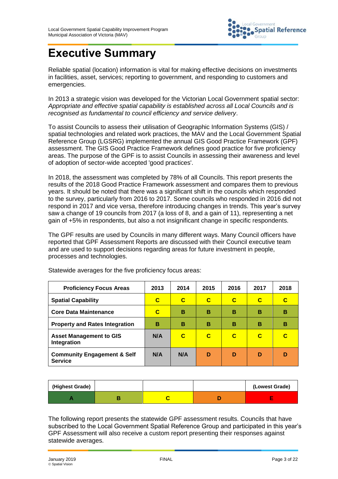

## **Executive Summary**

Reliable spatial (location) information is vital for making effective decisions on investments in facilities, asset, services; reporting to government, and responding to customers and emergencies.

In 2013 a strategic vision was developed for the Victorian Local Government spatial sector: *Appropriate and effective spatial capability is established across all Local Councils and is recognised as fundamental to council efficiency and service delivery*.

To assist Councils to assess their utilisation of Geographic Information Systems (GIS) / spatial technologies and related work practices, the MAV and the Local Government Spatial Reference Group (LGSRG) implemented the annual GIS Good Practice Framework (GPF) assessment. The GIS Good Practice Framework defines good practice for five proficiency areas. The purpose of the GPF is to assist Councils in assessing their awareness and level of adoption of sector-wide accepted 'good practices'.

In 2018, the assessment was completed by 78% of all Councils. This report presents the results of the 2018 Good Practice Framework assessment and compares them to previous years. It should be noted that there was a significant shift in the councils which responded to the survey, particularly from 2016 to 2017. Some councils who responded in 2016 did not respond in 2017 and vice versa, therefore introducing changes in trends. This year's survey saw a change of 19 councils from 2017 (a loss of 8, and a gain of 11), representing a net gain of +5% in respondents, but also a not insignificant change in specific respondents.

The GPF results are used by Councils in many different ways. Many Council officers have reported that GPF Assessment Reports are discussed with their Council executive team and are used to support decisions regarding areas for future investment in people, processes and technologies.

| <b>Proficiency Focus Areas</b>                           | 2013 | 2014 | 2015 | 2016 | 2017 | 2018 |
|----------------------------------------------------------|------|------|------|------|------|------|
| <b>Spatial Capability</b>                                | C    | C    | C    | C    | C    | С    |
| <b>Core Data Maintenance</b>                             | C    | в    | в    | в    | в    | в    |
| <b>Property and Rates Integration</b>                    | в    | в    | B    | в    | в    | в    |
| <b>Asset Management to GIS</b><br>Integration            | N/A  | C    | C    | C    | C    |      |
| <b>Community Engagement &amp; Self</b><br><b>Service</b> | N/A  | N/A  | D    | D    | D    | D    |

Statewide averages for the five proficiency focus areas:

| (Highest Grade) |  | (Lowest Grade) |
|-----------------|--|----------------|
|                 |  |                |

The following report presents the statewide GPF assessment results. Councils that have subscribed to the Local Government Spatial Reference Group and participated in this year's GPF Assessment will also receive a custom report presenting their responses against statewide averages.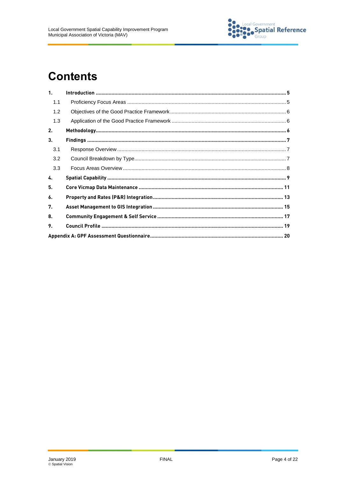

## **Contents**

| 1.             |  |
|----------------|--|
| 1.1            |  |
| 1.2            |  |
| 1.3            |  |
| 2.             |  |
| 3 <sub>1</sub> |  |
| 3.1            |  |
| 3.2            |  |
| 3.3            |  |
| 4.             |  |
| 5.             |  |
| 6.             |  |
| 7.             |  |
| 8.             |  |
| 9.             |  |
|                |  |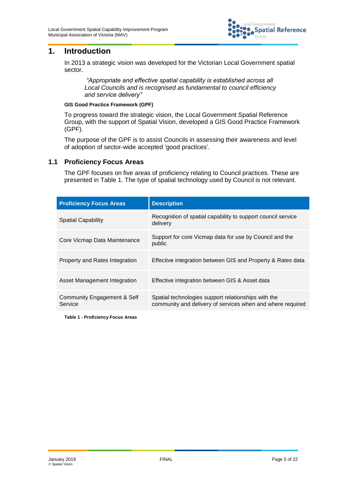

## **1. Introduction**

In 2013 a strategic vision was developed for the Victorian Local Government spatial sector.

*"Appropriate and effective spatial capability is established across all Local Councils and is recognised as fundamental to council efficiency and service delivery"*

#### **GIS Good Practice Framework (GPF)**

To progress toward the strategic vision, the Local Government Spatial Reference Group, with the support of Spatial Vision, developed a GIS Good Practice Framework (GPF).

The purpose of the GPF is to assist Councils in assessing their awareness and level of adoption of sector-wide accepted 'good practices'.

#### **1.1 Proficiency Focus Areas**

The GPF focuses on five areas of proficiency relating to Council practices. These are presented in [Table 1.](#page-4-0) The type of spatial technology used by Council is not relevant.

| <b>Proficiency Focus Areas</b>         | <b>Description</b>                                                                                                |
|----------------------------------------|-------------------------------------------------------------------------------------------------------------------|
| <b>Spatial Capability</b>              | Recognition of spatial capability to support council service<br>delivery                                          |
| Core Vicmap Data Maintenance           | Support for core Vicmap data for use by Council and the<br>public                                                 |
| Property and Rates Integration         | Effective integration between GIS and Property & Rates data                                                       |
| Asset Management Integration           | Effective integration between GIS & Asset data                                                                    |
| Community Engagement & Self<br>Service | Spatial technologies support relationships with the<br>community and delivery of services when and where required |

<span id="page-4-0"></span>**Table 1 - Proficiency Focus Areas**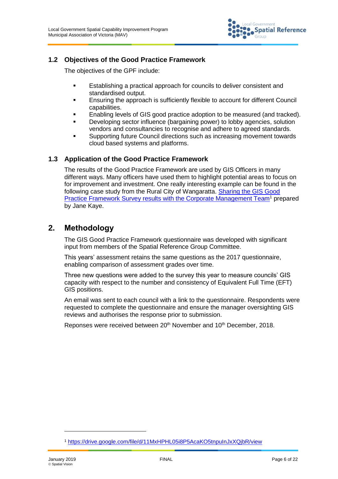

## **1.2 Objectives of the Good Practice Framework**

The objectives of the GPF include:

- Establishing a practical approach for councils to deliver consistent and standardised output.
- Ensuring the approach is sufficiently flexible to account for different Council capabilities.
- **Enabling levels of GIS good practice adoption to be measured (and tracked).**
- Developing sector influence (bargaining power) to lobby agencies, solution vendors and consultancies to recognise and adhere to agreed standards.
- Supporting future Council directions such as increasing movement towards cloud based systems and platforms.

### **1.3 Application of the Good Practice Framework**

The results of the Good Practice Framework are used by GIS Officers in many different ways. Many officers have used them to highlight potential areas to focus on for improvement and investment. One really interesting example can be found in the following case study from the Rural City of Wangaratta. [Sharing the GIS Good](https://drive.google.com/file/d/11MxHPHL05i8P5AcaKO5tnpuInJxXQjbR/view)  [Practice Framework Survey results with the Corporate Management Team](https://drive.google.com/file/d/11MxHPHL05i8P5AcaKO5tnpuInJxXQjbR/view)<sup>1</sup> prepared by Jane Kaye.

## **2. Methodology**

The GIS Good Practice Framework questionnaire was developed with significant input from members of the Spatial Reference Group Committee.

This years' assessment retains the same questions as the 2017 questionnaire, enabling comparison of assessment grades over time.

Three new questions were added to the survey this year to measure councils' GIS capacity with respect to the number and consistency of Equivalent Full Time (EFT) GIS positions.

An email was sent to each council with a link to the questionnaire. Respondents were requested to complete the questionnaire and ensure the manager oversighting GIS reviews and authorises the response prior to submission.

Reponses were received between 20<sup>th</sup> November and 10<sup>th</sup> December, 2018.

l

<sup>1</sup> <https://drive.google.com/file/d/11MxHPHL05i8P5AcaKO5tnpuInJxXQjbR/view>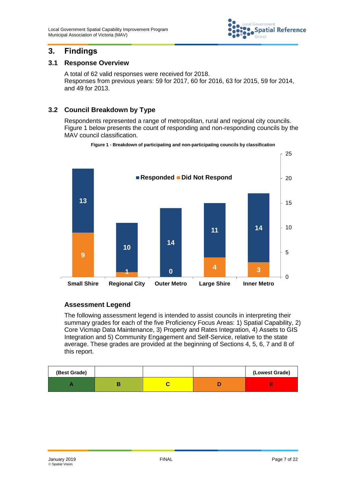

## **3. Findings**

## **3.1 Response Overview**

A total of 62 valid responses were received for 2018. Responses from previous years: 59 for 2017, 60 for 2016, 63 for 2015, 59 for 2014, and 49 for 2013.

## **3.2 Council Breakdown by Type**

Respondents represented a range of metropolitan, rural and regional city councils. [Figure 1](#page-6-0) below presents the count of responding and non-responding councils by the MAV council classification.

<span id="page-6-0"></span>

**Figure 1 - Breakdown of participating and non-participating councils by classification**

## **Assessment Legend**

The following assessment legend is intended to assist councils in interpreting their summary grades for each of the five Proficiency Focus Areas: 1) Spatial Capability, 2) Core Vicmap Data Maintenance, 3) Property and Rates Integration, 4) Assets to GIS Integration and 5) Community Engagement and Self-Service, relative to the state average. These grades are provided at the beginning of Sections 4, 5, 6, 7 and 8 of this report.

| (Best Grade) |  | (Lowest Grade) |
|--------------|--|----------------|
|              |  | $\sim$         |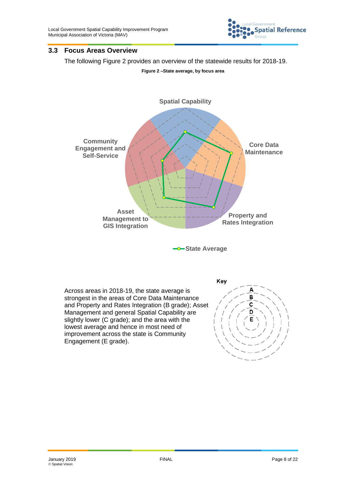

## <span id="page-7-0"></span>**3.3 Focus Areas Overview**

The following [Figure 2](#page-7-0) provides an overview of the statewide results for 2018-19.





**State Average** 

Across areas in 2018-19, the state average is strongest in the areas of Core Data Maintenance and Property and Rates Integration (B grade); Asset Management and general Spatial Capability are slightly lower (C grade); and the area with the lowest average and hence in most need of improvement across the state is Community Engagement (E grade).

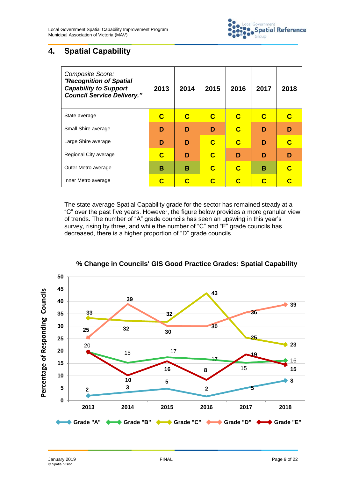

## **4. Spatial Capability**

| Composite Score:<br>"Recognition of Spatial<br><b>Capability to Support</b><br><b>Council Service Delivery."</b> | 2013                    | 2014        | 2015        | 2016        | 2017        | 2018        |
|------------------------------------------------------------------------------------------------------------------|-------------------------|-------------|-------------|-------------|-------------|-------------|
| State average                                                                                                    | $\mathbf C$             | $\mathbf C$ | $\mathbf C$ | $\mathbf C$ | $\mathbf C$ | $\mathbf C$ |
| Small Shire average                                                                                              | D                       | D           | D           | $\mathbf C$ | D           | D           |
| Large Shire average                                                                                              | D                       | D           | C           | $\mathbf C$ | D           | $\mathbf C$ |
| Regional City average                                                                                            | $\overline{\mathbf{C}}$ | D           | C           | D           | D           | D           |
| Outer Metro average                                                                                              | в                       | в           | C           | C           | в           | $\mathbf C$ |
| Inner Metro average                                                                                              |                         |             | C           | C           | C           |             |

The state average Spatial Capability grade for the sector has remained steady at a "C" over the past five years. However, the figure below provides a more granular view of trends. The number of "A" grade councils has seen an upswing in this year's survey, rising by three, and while the number of "C" and "E" grade councils has decreased, there is a higher proportion of "D" grade councils.



## **% Change in Councils' GIS Good Practice Grades: Spatial Capability**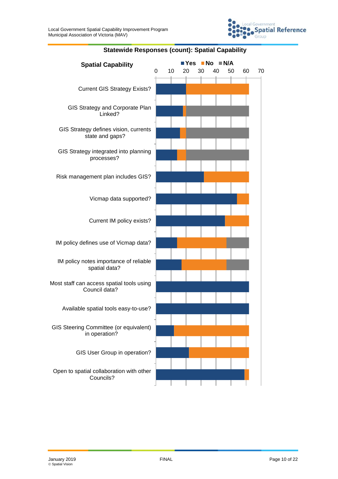



#### **Statewide Responses (count): Spatial Capability**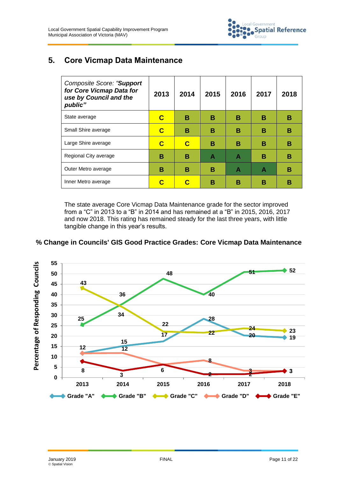

## **5. Core Vicmap Data Maintenance**

| Composite Score: "Support<br>for Core Vicmap Data for<br>use by Council and the<br>public" | 2013 | 2014 | 2015 | 2016 | 2017 | 2018 |
|--------------------------------------------------------------------------------------------|------|------|------|------|------|------|
| State average                                                                              | C    | B    | B    | B    | B    | B    |
| Small Shire average                                                                        | C    | в    | в    | в    | в    | в    |
| Large Shire average                                                                        | C    | C    | в    | в    | в    | в    |
| Regional City average                                                                      | в    | в    | A    | A    | в    | в    |
| Outer Metro average                                                                        | в    | в    | в    | Α    | Α    | в    |
| Inner Metro average                                                                        |      |      | в    | в    | в    | в    |

The state average Core Vicmap Data Maintenance grade for the sector improved from a "C" in 2013 to a "B" in 2014 and has remained at a "B" in 2015, 2016, 2017 and now 2018. This rating has remained steady for the last three years, with little tangible change in this year's results.

## **% Change in Councils' GIS Good Practice Grades: Core Vicmap Data Maintenance**

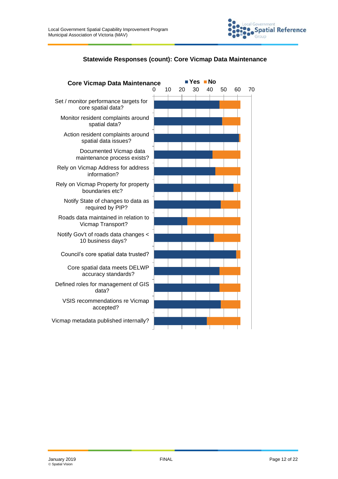

#### **Statewide Responses (count): Core Vicmap Data Maintenance**

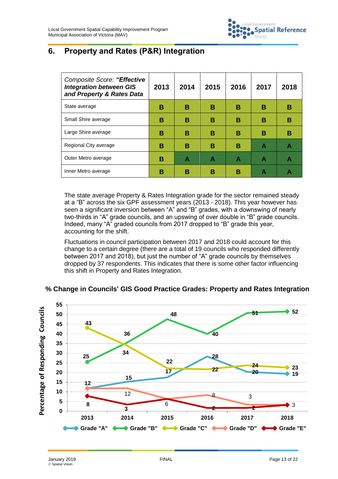

| Composite Score: "Effective<br><b>Integration between GIS</b><br>and Property & Rates Data | 2013 | 2014 | 2015 | 2016 | 2017 | 2018 |
|--------------------------------------------------------------------------------------------|------|------|------|------|------|------|
| State average                                                                              | в    | в    | B    | B    | в    | в    |
| Small Shire average                                                                        | в    | в    | в    | в    | в    | в    |
| Large Shire average                                                                        | в    | в    | в    | в    | в    | в    |
| Regional City average                                                                      | в    | в    | в    | в    | A    | A    |
| Outer Metro average                                                                        | в    | A    | A    | A    | A    | Α    |
| Inner Metro average                                                                        | в    | в    | в    | в    | А    | А    |

## **6. Property and Rates (P&R) Integration**

The state average Property & Rates Integration grade for the sector remained steady at a "B" across the six GPF assessment years (2013 - 2018). This year however has seen a significant inversion between "A" and "B" grades, with a downswing of nearly two-thirds in "A" grade councils, and an upswing of over double in "B" grade councils. Indeed, many "A" graded councils from 2017 dropped to "B" grade this year, accounting for the shift.

Fluctuations in council participation between 2017 and 2018 could account for this change to a certain degree (there are a total of 19 councils who responded differently between 2017 and 2018), but just the number of "A" grade councils by themselves dropped by 37 respondents. This indicates that there is some other factor influencing this shift in Property and Rates Integration.

### **% Change in Councils' GIS Good Practice Grades: Property and Rates Integration**

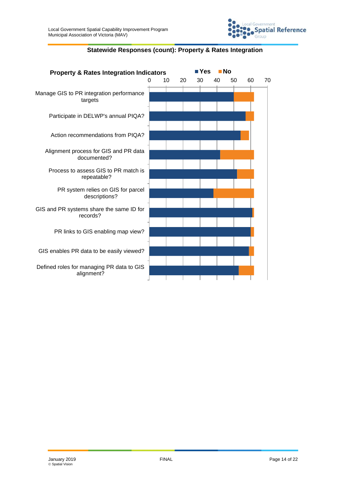

#### **Statewide Responses (count): Property & Rates Integration**

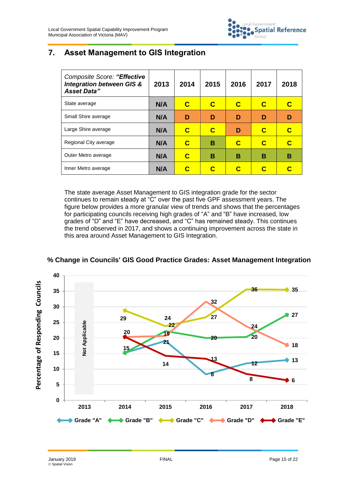

| Composite Score: "Effective<br><b>Integration between GIS &amp;</b><br><b>Asset Data"</b> | 2013 | 2014                    | 2015        | 2016 | 2017        | 2018 |
|-------------------------------------------------------------------------------------------|------|-------------------------|-------------|------|-------------|------|
| State average                                                                             | N/A  | C                       | $\mathbf C$ | C    | $\mathbf C$ | C    |
| Small Shire average                                                                       | N/A  | D                       | D           | D    | D           | D    |
| Large Shire average                                                                       | N/A  | $\mathbf C$             | $\mathbf C$ | D    | $\mathbf C$ | C    |
| Regional City average                                                                     | N/A  | C                       | B           | C    | $\mathbf C$ | C    |
| Outer Metro average                                                                       | N/A  | $\overline{\mathbf{C}}$ | в           | в    | в           | в    |
| Inner Metro average                                                                       | N/A  | C                       | C           | C    | C           | C    |

## **7. Asset Management to GIS Integration**

The state average Asset Management to GIS integration grade for the sector continues to remain steady at "C" over the past five GPF assessment years. The figure below provides a more granular view of trends and shows that the percentages for participating councils receiving high grades of "A" and "B" have increased, low grades of "D" and "E" have decreased, and "C" has remained steady. This continues the trend observed in 2017, and shows a continuing improvement across the state in this area around Asset Management to GIS Integration.



**% Change in Councils' GIS Good Practice Grades: Asset Management Integration**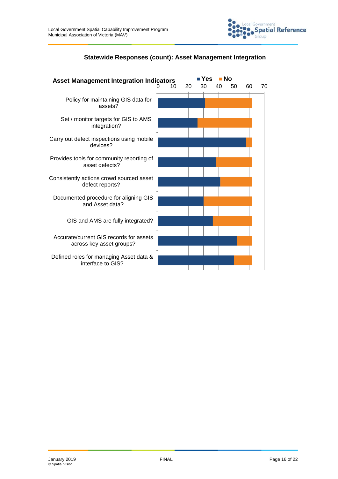

#### **Statewide Responses (count): Asset Management Integration**

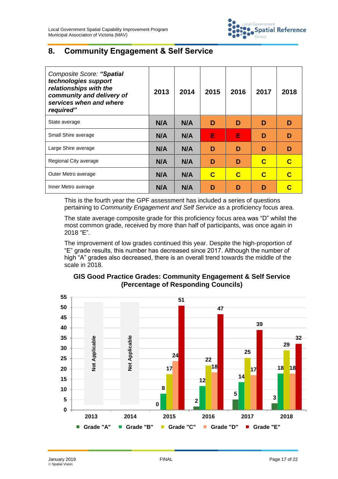

## **8. Community Engagement & Self Service**

| Composite Score: "Spatial<br>technologies support<br>relationships with the<br>community and delivery of<br>services when and where<br>required" | 2013 | 2014 | 2015        | 2016 | 2017 | 2018 |
|--------------------------------------------------------------------------------------------------------------------------------------------------|------|------|-------------|------|------|------|
| State average                                                                                                                                    | N/A  | N/A  | D           | D    | D    | D    |
| Small Shire average                                                                                                                              | N/A  | N/A  | Е           | E    | D    | D    |
| Large Shire average                                                                                                                              | N/A  | N/A  | D           | D    | D    | D    |
| Regional City average                                                                                                                            | N/A  | N/A  | D           | D    | C    | C    |
| Outer Metro average                                                                                                                              | N/A  | N/A  | $\mathbf C$ | C    | C    | C    |
| Inner Metro average                                                                                                                              | N/A  | N/A  | D           | D    | D    |      |

This is the fourth year the GPF assessment has included a series of questions pertaining to *Community Engagement and Self Service* as a proficiency focus area.

The state average composite grade for this proficiency focus area was "D" whilst the most common grade, received by more than half of participants, was once again in 2018 "E".

The improvement of low grades continued this year. Despite the high-proportion of "E" grade results, this number has decreased since 2017. Although the number of high "A" grades also decreased, there is an overall trend towards the middle of the scale in 2018.



**GIS Good Practice Grades: Community Engagement & Self Service (Percentage of Responding Councils)**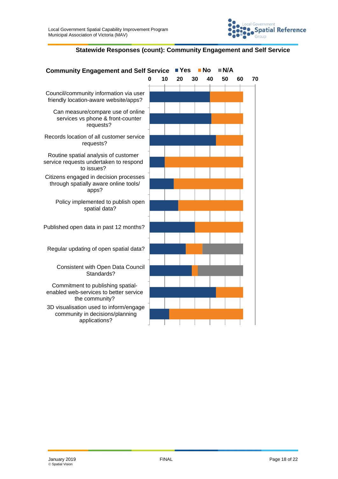

#### **Statewide Responses (count): Community Engagement and Self Service**

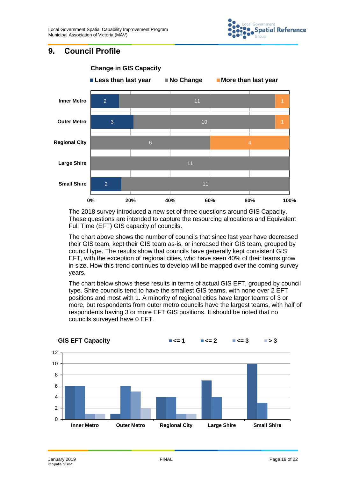

## **9. Council Profile**



The 2018 survey introduced a new set of three questions around GIS Capacity. These questions are intended to capture the resourcing allocations and Equivalent Full Time (EFT) GIS capacity of councils.

The chart above shows the number of councils that since last year have decreased their GIS team, kept their GIS team as-is, or increased their GIS team, grouped by council type. The results show that councils have generally kept consistent GIS EFT, with the exception of regional cities, who have seen 40% of their teams grow in size. How this trend continues to develop will be mapped over the coming survey years.

The chart below shows these results in terms of actual GIS EFT, grouped by council type. Shire councils tend to have the smallest GIS teams, with none over 2 EFT positions and most with 1. A minority of regional cities have larger teams of 3 or more, but respondents from outer metro councils have the largest teams, with half of respondents having 3 or more EFT GIS positions. It should be noted that no councils surveyed have 0 EFT.



**Change in GIS Capacity**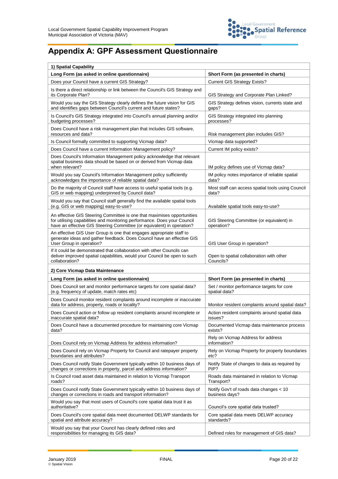

## **Appendix A: GPF Assessment Questionnaire**

| 1) Spatial Capability                                                                                                                                                                                                         |                                                             |  |
|-------------------------------------------------------------------------------------------------------------------------------------------------------------------------------------------------------------------------------|-------------------------------------------------------------|--|
| Long Form (as asked in online questionnaire)                                                                                                                                                                                  | Short Form (as presented in charts)                         |  |
| Does your Council have a current GIS Strategy?                                                                                                                                                                                | <b>Current GIS Strategy Exists?</b>                         |  |
| Is there a direct relationship or link between the Council's GIS Strategy and<br>its Corporate Plan?                                                                                                                          | GIS Strategy and Corporate Plan Linked?                     |  |
| Would you say the GIS Strategy clearly defines the future vision for GIS<br>and identifies gaps between Council's current and future states?                                                                                  | GIS Strategy defines vision, currents state and<br>gaps?    |  |
| Is Council's GIS Strategy integrated into Council's annual planning and/or<br>budgeting processes?                                                                                                                            | GIS Strategy integrated into planning<br>processes?         |  |
| Does Council have a risk management plan that includes GIS software,<br>resources and data?                                                                                                                                   | Risk management plan includes GIS?                          |  |
| Is Council formally committed to supporting Vicmap data?                                                                                                                                                                      | Vicmap data supported?                                      |  |
| Does Council have a current Information Management policy?                                                                                                                                                                    | Current IM policy exists?                                   |  |
| Does Council's Information Management policy acknowledge that relevant<br>spatial business data should be based on or derived from Vicmap data<br>when relevant?                                                              | IM policy defines use of Vicmap data?                       |  |
| Would you say Council's Information Management policy sufficiently<br>acknowledges the importance of reliable spatial data?                                                                                                   | IM policy notes importance of reliable spatial<br>data?     |  |
| Do the majority of Council staff have access to useful spatial tools (e.g.<br>GIS or web mapping) underpinned by Council data?                                                                                                | Most staff can access spatial tools using Council<br>data?  |  |
| Would you say that Council staff generally find the available spatial tools<br>(e.g. GIS or web mapping) easy-to-use?                                                                                                         | Available spatial tools easy-to-use?                        |  |
| An effective GIS Steering Committee is one that maximises opportunities<br>for utilising capabilities and monitoring performance. Does your Council<br>have an effective GIS Steering Committee (or equivalent) in operation? | GIS Steering Committee (or equivalent) in<br>operation?     |  |
| An effective GIS User Group is one that engages appropriate staff to<br>generate ideas and gather feedback. Does Council have an effective GIS<br>User Group in operation?                                                    | GIS User Group in operation?                                |  |
| If it could be demonstrated that collaboration with other Councils can<br>deliver improved spatial capabilities, would your Council be open to such<br>collaboration?                                                         | Open to spatial collaboration with other<br>Councils?       |  |
| 2) Core Vicmap Data Maintenance                                                                                                                                                                                               |                                                             |  |
| Long Form (as asked in online questionnaire)                                                                                                                                                                                  | Short Form (as presented in charts)                         |  |
| Does Council set and monitor performance targets for core spatial data?<br>(e.g. frequency of update, match rates etc)                                                                                                        | Set / monitor performance targets for core<br>spatial data? |  |
| Does Council monitor resident complaints around incomplete or inaccurate<br>data for address, property, roads or locality?                                                                                                    | Monitor resident complaints around spatial data?            |  |
| Does Council action or follow up resident complaints around incomplete or<br>inaccurate spatial data?                                                                                                                         | Action resident complaints around spatial data<br>issues?   |  |
| Does Council have a documented procedure for maintaining core Vicmap<br>data?                                                                                                                                                 | Documented Vicmap data maintenance process<br>exists?       |  |
| Does Council rely on Vicmap Address for address information?                                                                                                                                                                  | Rely on Vicmap Address for address<br>information?          |  |
| Does Council rely on Vicmap Property for Council and ratepayer property<br>boundaries and attributes?                                                                                                                         | Rely on Vicmap Property for property boundaries<br>etc?     |  |
| Does Council notify State Government typically within 10 business days of<br>changes or corrections in property, parcel and address information?                                                                              | Notify State of changes to data as required by<br>PIP?      |  |
| Is Council road asset data maintained in relation to Vicmap Transport<br>roads?                                                                                                                                               | Roads data maintained in relation to Vicmap<br>Transport?   |  |
| Does Council notify State Government typically within 10 business days of<br>changes or corrections in roads and transport information?                                                                                       | Notify Gov't of roads data changes < 10<br>business days?   |  |
| Would you say that most users of Council's core spatial data trust it as<br>authoritative?                                                                                                                                    | Council's core spatial data trusted?                        |  |
| Does Council's core spatial data meet documented DELWP standards for<br>spatial and attribute accuracy?                                                                                                                       | Core spatial data meets DELWP accuracy<br>standards?        |  |
| Would you say that your Council has clearly defined roles and<br>responsibilities for managing its GIS data?                                                                                                                  | Defined roles for management of GIS data?                   |  |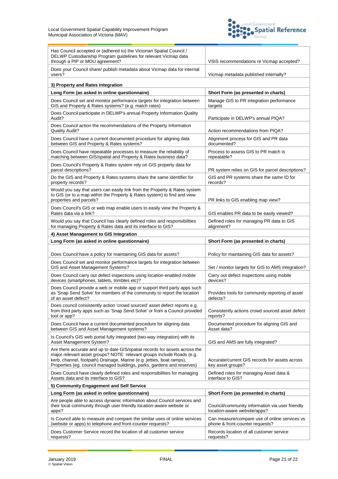

| Has Council accepted or (adhered to) the Victorian Spatial Council /<br>DELWP Custodianship Program guidelines for relevant Vicmap data<br>through a PIP or MOU agreement?                                                                                                                                | VSIS recommendations re Vicmap accepted?                                         |  |
|-----------------------------------------------------------------------------------------------------------------------------------------------------------------------------------------------------------------------------------------------------------------------------------------------------------|----------------------------------------------------------------------------------|--|
| Does your Council share/ publish metadata about Vicmap data for internal<br>users?                                                                                                                                                                                                                        | Vicmap metadata published internally?                                            |  |
| 3) Property and Rates Integration                                                                                                                                                                                                                                                                         |                                                                                  |  |
| Long Form (as asked in online questionnaire)                                                                                                                                                                                                                                                              | Short Form (as presented in charts)                                              |  |
| Does Council set and monitor performance targets for integration between<br>GIS and Property & Rates systems? (e.g. match rates)                                                                                                                                                                          | Manage GIS to PR integration performance<br>targets                              |  |
| Does Council participate in DELWP's annual Property Information Quality<br>Audit?                                                                                                                                                                                                                         | Participate in DELWP's annual PIQA?                                              |  |
| Does Council action the recommendations of the Property Information<br><b>Quality Audit?</b>                                                                                                                                                                                                              | Action recommendations from PIQA?                                                |  |
| Does Council have a current documented procedure for aligning data<br>between GIS and Property & Rates systems?                                                                                                                                                                                           | Alignment process for GIS and PR data<br>documented?                             |  |
| Does Council have repeatable processes to measure the reliability of<br>matching between GIS/spatial and Property & Rates business data?                                                                                                                                                                  | Process to assess GIS to PR match is<br>repeatable?                              |  |
| Does Council's Property & Rates system rely on GIS property data for<br>parcel descriptions?                                                                                                                                                                                                              | PR system relies on GIS for parcel descriptions?                                 |  |
| Do the GIS and Property & Rates systems share the same identifier for<br>property records?                                                                                                                                                                                                                | GIS and PR systems share the same ID for<br>records?                             |  |
| Would you say that users can easily link from the Property & Rates system<br>to GIS (or to a map within the Property & Rates system) to find and view<br>properties and parcels?                                                                                                                          | PR links to GIS enabling map view?                                               |  |
| Does Council's GIS or web map enable users to easily view the Property &<br>Rates data via a link?                                                                                                                                                                                                        | GIS enables PR data to be easily viewed?                                         |  |
| Would you say that Council has clearly defined roles and responsibilities<br>for managing Property & Rates data and its interface to GIS?                                                                                                                                                                 | Defined roles for managing PR data to GIS<br>alignment?                          |  |
| 4) Asset Management to GIS Integration                                                                                                                                                                                                                                                                    |                                                                                  |  |
| Long Form (as asked in online questionnaire)                                                                                                                                                                                                                                                              | Short Form (as presented in charts)                                              |  |
| Does Council have a policy for maintaining GIS data for assets?                                                                                                                                                                                                                                           | Policy for maintaining GIS data for assets?                                      |  |
| Does Council set and monitor performance targets for integration between<br>GIS and Asset Management Systems?                                                                                                                                                                                             | Set / monitor targets for GIS to AMS integration?                                |  |
| Does Council carry out defect inspections using location-enabled mobile<br>devices (smartphones, tablets, trimbles etc)?                                                                                                                                                                                  | Carry out defect inspections using mobile<br>devices?                            |  |
| Does Council provide a web or mobile app or support third party apps such<br>as 'Snap Send Solve' for members of the community to report the location<br>of an asset defect?                                                                                                                              | Provides tools for community reporting of asset<br>defects?                      |  |
| Does council consistently action 'crowd sourced' asset defect reports e.g.<br>from third party apps such as 'Snap Send Solve' or from a Council provided<br>tool or app?                                                                                                                                  | Consistently actions crowd sourced asset defect<br>reports?                      |  |
| Does Council have a current documented procedure for aligning data<br>between GIS and Asset Management systems?                                                                                                                                                                                           | Documented procedure for aligning GIS and<br>Asset data?                         |  |
| Is Council's GIS web portal fully integrated (two-way integration) with its<br>Asset Management System?                                                                                                                                                                                                   | GIS and AMS are fully integrated?                                                |  |
| Are there accurate and up to date GIS/spatial records for assets across the<br>major relevant asset groups? NOTE: relevant groups include Roads (e.g.<br>kerb, channel, footpath) Drainage, Marine (e.g. jetties, boat ramps),<br>Properties (eg. council managed buildings, parks, gardens and reserves) | Accurate/current GIS records for assets across<br>key asset groups?              |  |
| Does Council have clearly defined roles and responsibilities for managing<br>Assets data and its interface to GIS?                                                                                                                                                                                        | Defined roles for managing Asset data &<br>interface to GIS?                     |  |
| 5) Community Engagement and Self Service                                                                                                                                                                                                                                                                  |                                                                                  |  |
| Long Form (as asked in online questionnaire)                                                                                                                                                                                                                                                              | Short Form (as presented in charts)                                              |  |
| Are people able to access dynamic information about Council services and<br>their local community through user friendly location-aware website or<br>apps?                                                                                                                                                | Council/community information via user friendly<br>location-aware website/apps?  |  |
| Is Council able to measure and compare the similar uses of online services<br>(website or apps) to telephone and front-counter requests?                                                                                                                                                                  | Can measure/compare use of online services vs<br>phone & front-counter requests? |  |
| Does Customer Service record the location of all customer service<br>requests?                                                                                                                                                                                                                            | Records location of all customer service<br>requests?                            |  |